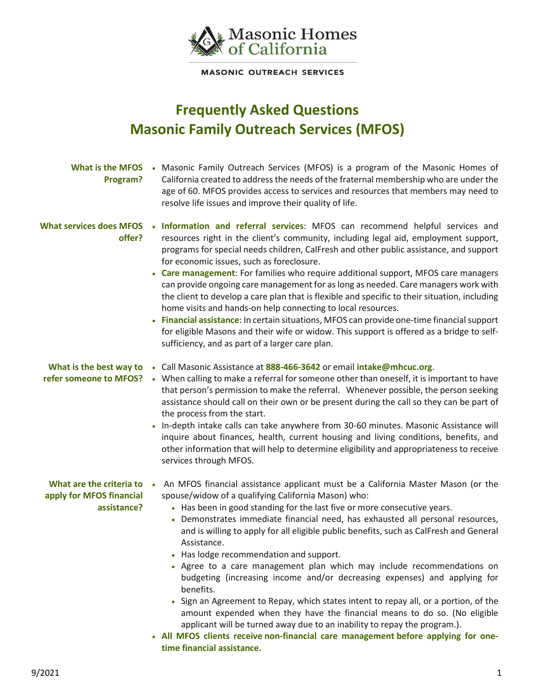

**MASONIC OUTREACH SERVICES** 

## **Frequently Asked Questions Masonic Family Outreach Services (MFOS)**

| Program?                                                              | What is the MFOS • Masonic Family Outreach Services (MFOS) is a program of the Masonic Homes of<br>California created to address the needs of the fraternal membership who are under the<br>age of 60. MFOS provides access to services and resources that members may need to<br>resolve life issues and improve their quality of life.                                                                                                                                                                                                                                                                                                                                                                                                                                                                                                                                                                                                                                                         |
|-----------------------------------------------------------------------|--------------------------------------------------------------------------------------------------------------------------------------------------------------------------------------------------------------------------------------------------------------------------------------------------------------------------------------------------------------------------------------------------------------------------------------------------------------------------------------------------------------------------------------------------------------------------------------------------------------------------------------------------------------------------------------------------------------------------------------------------------------------------------------------------------------------------------------------------------------------------------------------------------------------------------------------------------------------------------------------------|
| <b>What services does MFOS</b><br>offer?                              | . Information and referral services: MFOS can recommend helpful services and<br>resources right in the client's community, including legal aid, employment support,<br>programs for special needs children, CalFresh and other public assistance, and support<br>for economic issues, such as foreclosure.<br>• Care management: For families who require additional support, MFOS care managers<br>can provide ongoing care management for as long as needed. Care managers work with<br>the client to develop a care plan that is flexible and specific to their situation, including<br>home visits and hands-on help connecting to local resources.<br>Financial assistance: In certain situations, MFOS can provide one-time financial support<br>for eligible Masons and their wife or widow. This support is offered as a bridge to self-<br>sufficiency, and as part of a larger care plan.                                                                                              |
| What is the best way to<br>refer someone to MFOS?                     | • Call Masonic Assistance at 888-466-3642 or email intake@mhcuc.org.<br>• When calling to make a referral for someone other than oneself, it is important to have<br>that person's permission to make the referral. Whenever possible, the person seeking<br>assistance should call on their own or be present during the call so they can be part of<br>the process from the start.<br>In-depth intake calls can take anywhere from 30-60 minutes. Masonic Assistance will<br>inquire about finances, health, current housing and living conditions, benefits, and<br>other information that will help to determine eligibility and appropriateness to receive<br>services through MFOS.                                                                                                                                                                                                                                                                                                        |
| What are the criteria to .<br>apply for MFOS financial<br>assistance? | An MFOS financial assistance applicant must be a California Master Mason (or the<br>spouse/widow of a qualifying California Mason) who:<br>• Has been in good standing for the last five or more consecutive years.<br>• Demonstrates immediate financial need, has exhausted all personal resources,<br>and is willing to apply for all eligible public benefits, such as CalFresh and General<br>Assistance.<br>• Has lodge recommendation and support.<br>• Agree to a care management plan which may include recommendations on<br>budgeting (increasing income and/or decreasing expenses) and applying for<br>benefits.<br>Sign an Agreement to Repay, which states intent to repay all, or a portion, of the<br>amount expended when they have the financial means to do so. (No eligible<br>applicant will be turned away due to an inability to repay the program.).<br>• All MFOS clients receive non-financial care management before applying for one-<br>time financial assistance. |